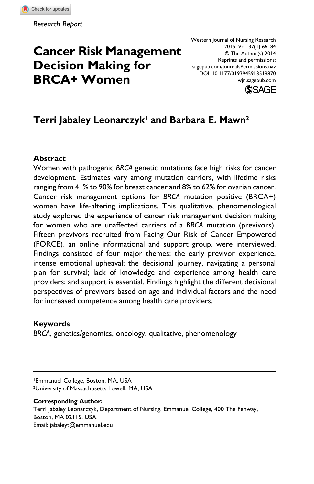# **Cancer Risk Management Decision Making for BRCA+ Women**

Western Journal of Nursing Research 2015, Vol. 37(1) 66–84 © The Author(s) 2014 Reprints and permissions: sagepub.com/journalsPermissions.nav DOI: 10.1177/0193945913519870 wjn.sagepub.com



# Terri Jabaley Leonarczyk<sup>1</sup> and Barbara E. Mawn<sup>2</sup>

#### **Abstract**

Women with pathogenic *BRCA* genetic mutations face high risks for cancer development. Estimates vary among mutation carriers, with lifetime risks ranging from 41% to 90% for breast cancer and 8% to 62% for ovarian cancer. Cancer risk management options for *BRCA* mutation positive (BRCA+) women have life-altering implications. This qualitative, phenomenological study explored the experience of cancer risk management decision making for women who are unaffected carriers of a *BRCA* mutation (previvors). Fifteen previvors recruited from Facing Our Risk of Cancer Empowered (FORCE), an online informational and support group, were interviewed. Findings consisted of four major themes: the early previvor experience, intense emotional upheaval; the decisional journey, navigating a personal plan for survival; lack of knowledge and experience among health care providers; and support is essential. Findings highlight the different decisional perspectives of previvors based on age and individual factors and the need for increased competence among health care providers.

#### **Keywords**

*BRCA*, genetics/genomics, oncology, qualitative, phenomenology

1Emmanuel College, Boston, MA, USA 2University of Massachusetts Lowell, MA, USA

#### **Corresponding Author:**

Terri Jabaley Leonarczyk, Department of Nursing, Emmanuel College, 400 The Fenway, Boston, MA 02115, USA. Email: jabaleyt@emmanuel.edu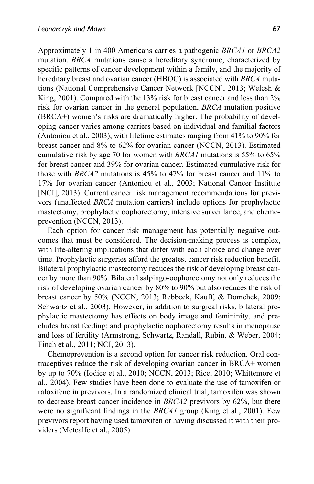Approximately 1 in 400 Americans carries a pathogenic *BRCA1* or *BRCA2* mutation. *BRCA* mutations cause a hereditary syndrome, characterized by specific patterns of cancer development within a family, and the majority of hereditary breast and ovarian cancer (HBOC) is associated with *BRCA* mutations (National Comprehensive Cancer Network [NCCN], 2013; Welcsh & King, 2001). Compared with the 13% risk for breast cancer and less than 2% risk for ovarian cancer in the general population, *BRCA* mutation positive (BRCA+) women's risks are dramatically higher. The probability of developing cancer varies among carriers based on individual and familial factors (Antoniou et al., 2003), with lifetime estimates ranging from 41% to 90% for breast cancer and 8% to 62% for ovarian cancer (NCCN, 2013). Estimated cumulative risk by age 70 for women with *BRCA1* mutations is 55% to 65% for breast cancer and 39% for ovarian cancer. Estimated cumulative risk for those with *BRCA2* mutations is 45% to 47% for breast cancer and 11% to 17% for ovarian cancer (Antoniou et al., 2003; National Cancer Institute [NCI], 2013). Current cancer risk management recommendations for previvors (unaffected *BRCA* mutation carriers) include options for prophylactic mastectomy, prophylactic oophorectomy, intensive surveillance, and chemoprevention (NCCN, 2013).

Each option for cancer risk management has potentially negative outcomes that must be considered. The decision-making process is complex, with life-altering implications that differ with each choice and change over time. Prophylactic surgeries afford the greatest cancer risk reduction benefit. Bilateral prophylactic mastectomy reduces the risk of developing breast cancer by more than 90%. Bilateral salpingo-oophorectomy not only reduces the risk of developing ovarian cancer by 80% to 90% but also reduces the risk of breast cancer by 50% (NCCN, 2013; Rebbeck, Kauff, & Domchek, 2009; Schwartz et al., 2003). However, in addition to surgical risks, bilateral prophylactic mastectomy has effects on body image and femininity, and precludes breast feeding; and prophylactic oophorectomy results in menopause and loss of fertility (Armstrong, Schwartz, Randall, Rubin, & Weber, 2004; Finch et al., 2011; NCI, 2013).

Chemoprevention is a second option for cancer risk reduction. Oral contraceptives reduce the risk of developing ovarian cancer in BRCA+ women by up to 70% (Iodice et al., 2010; NCCN, 2013; Rice, 2010; Whittemore et al., 2004). Few studies have been done to evaluate the use of tamoxifen or raloxifene in previvors. In a randomized clinical trial, tamoxifen was shown to decrease breast cancer incidence in *BRCA2* previvors by 62%, but there were no significant findings in the *BRCA1* group (King et al., 2001). Few previvors report having used tamoxifen or having discussed it with their providers (Metcalfe et al., 2005).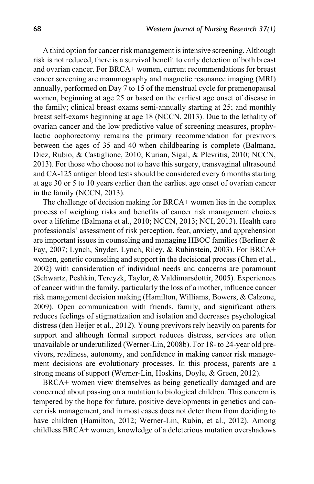A third option for cancer risk management is intensive screening. Although risk is not reduced, there is a survival benefit to early detection of both breast and ovarian cancer. For BRCA+ women, current recommendations for breast cancer screening are mammography and magnetic resonance imaging (MRI) annually, performed on Day 7 to 15 of the menstrual cycle for premenopausal women, beginning at age 25 or based on the earliest age onset of disease in the family; clinical breast exams semi-annually starting at 25; and monthly breast self-exams beginning at age 18 (NCCN, 2013). Due to the lethality of ovarian cancer and the low predictive value of screening measures, prophylactic oophorectomy remains the primary recommendation for previvors between the ages of 35 and 40 when childbearing is complete (Balmana, Diez, Rubio, & Castiglione, 2010; Kurian, Sigal, & Plevritis, 2010; NCCN, 2013). For those who choose not to have this surgery, transvaginal ultrasound and CA-125 antigen blood tests should be considered every 6 months starting at age 30 or 5 to 10 years earlier than the earliest age onset of ovarian cancer in the family (NCCN, 2013).

The challenge of decision making for BRCA+ women lies in the complex process of weighing risks and benefits of cancer risk management choices over a lifetime (Balmana et al., 2010; NCCN, 2013; NCI, 2013). Health care professionals' assessment of risk perception, fear, anxiety, and apprehension are important issues in counseling and managing HBOC families (Berliner & Fay, 2007; Lynch, Snyder, Lynch, Riley, & Rubinstein, 2003). For BRCA+ women, genetic counseling and support in the decisional process (Chen et al., 2002) with consideration of individual needs and concerns are paramount (Schwartz, Peshkin, Tercyzk, Taylor, & Valdimarsdottir, 2005). Experiences of cancer within the family, particularly the loss of a mother, influence cancer risk management decision making (Hamilton, Williams, Bowers, & Calzone, 2009). Open communication with friends, family, and significant others reduces feelings of stigmatization and isolation and decreases psychological distress (den Heijer et al., 2012). Young previvors rely heavily on parents for support and although formal support reduces distress, services are often unavailable or underutilized (Werner-Lin, 2008b). For 18- to 24-year old previvors, readiness, autonomy, and confidence in making cancer risk management decisions are evolutionary processes. In this process, parents are a strong means of support (Werner-Lin, Hoskins, Doyle, & Green, 2012).

BRCA+ women view themselves as being genetically damaged and are concerned about passing on a mutation to biological children. This concern is tempered by the hope for future, positive developments in genetics and cancer risk management, and in most cases does not deter them from deciding to have children (Hamilton, 2012; Werner-Lin, Rubin, et al., 2012). Among childless BRCA+ women, knowledge of a deleterious mutation overshadows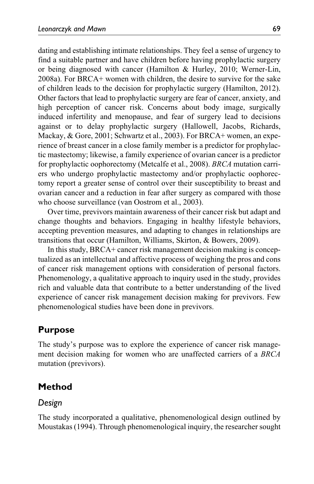dating and establishing intimate relationships. They feel a sense of urgency to find a suitable partner and have children before having prophylactic surgery or being diagnosed with cancer (Hamilton & Hurley, 2010; Werner-Lin, 2008a). For BRCA+ women with children, the desire to survive for the sake of children leads to the decision for prophylactic surgery (Hamilton, 2012). Other factors that lead to prophylactic surgery are fear of cancer, anxiety, and high perception of cancer risk. Concerns about body image, surgically induced infertility and menopause, and fear of surgery lead to decisions against or to delay prophylactic surgery (Hallowell, Jacobs, Richards, Mackay, & Gore, 2001; Schwartz et al., 2003). For BRCA+ women, an experience of breast cancer in a close family member is a predictor for prophylactic mastectomy; likewise, a family experience of ovarian cancer is a predictor for prophylactic oophorectomy (Metcalfe et al., 2008). *BRCA* mutation carriers who undergo prophylactic mastectomy and/or prophylactic oophorectomy report a greater sense of control over their susceptibility to breast and ovarian cancer and a reduction in fear after surgery as compared with those who choose surveillance (van Oostrom et al., 2003).

Over time, previvors maintain awareness of their cancer risk but adapt and change thoughts and behaviors. Engaging in healthy lifestyle behaviors, accepting prevention measures, and adapting to changes in relationships are transitions that occur (Hamilton, Williams, Skirton, & Bowers, 2009).

In this study, BRCA+ cancer risk management decision making is conceptualized as an intellectual and affective process of weighing the pros and cons of cancer risk management options with consideration of personal factors. Phenomenology, a qualitative approach to inquiry used in the study, provides rich and valuable data that contribute to a better understanding of the lived experience of cancer risk management decision making for previvors. Few phenomenological studies have been done in previvors.

# **Purpose**

The study's purpose was to explore the experience of cancer risk management decision making for women who are unaffected carriers of a *BRCA* mutation (previvors).

# **Method**

### *Design*

The study incorporated a qualitative, phenomenological design outlined by Moustakas (1994). Through phenomenological inquiry, the researcher sought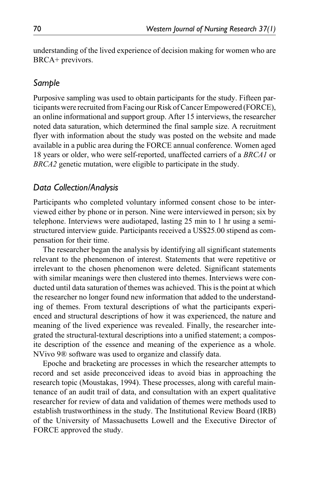understanding of the lived experience of decision making for women who are BRCA+ previvors.

### *Sample*

Purposive sampling was used to obtain participants for the study. Fifteen participants were recruited from Facing our Risk of Cancer Empowered (FORCE), an online informational and support group. After 15 interviews, the researcher noted data saturation, which determined the final sample size. A recruitment flyer with information about the study was posted on the website and made available in a public area during the FORCE annual conference. Women aged 18 years or older, who were self-reported, unaffected carriers of a *BRCA1* or *BRCA2* genetic mutation, were eligible to participate in the study.

#### *Data Collection/Analysis*

Participants who completed voluntary informed consent chose to be interviewed either by phone or in person. Nine were interviewed in person; six by telephone. Interviews were audiotaped, lasting 25 min to 1 hr using a semistructured interview guide. Participants received a US\$25.00 stipend as compensation for their time.

The researcher began the analysis by identifying all significant statements relevant to the phenomenon of interest. Statements that were repetitive or irrelevant to the chosen phenomenon were deleted. Significant statements with similar meanings were then clustered into themes. Interviews were conducted until data saturation of themes was achieved. This is the point at which the researcher no longer found new information that added to the understanding of themes. From textural descriptions of what the participants experienced and structural descriptions of how it was experienced, the nature and meaning of the lived experience was revealed. Finally, the researcher integrated the structural-textural descriptions into a unified statement; a composite description of the essence and meaning of the experience as a whole. NVivo 9® software was used to organize and classify data.

Epoche and bracketing are processes in which the researcher attempts to record and set aside preconceived ideas to avoid bias in approaching the research topic (Moustakas, 1994). These processes, along with careful maintenance of an audit trail of data, and consultation with an expert qualitative researcher for review of data and validation of themes were methods used to establish trustworthiness in the study. The Institutional Review Board (IRB) of the University of Massachusetts Lowell and the Executive Director of FORCE approved the study.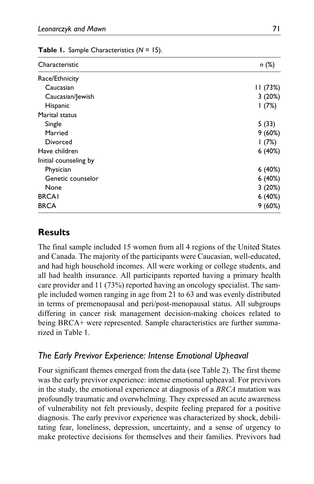| Characteristic        | n(%)     |
|-----------------------|----------|
| Race/Ethnicity        |          |
| Caucasian             | 11 (73%) |
| Caucasian/Jewish      | 3 (20%)  |
| Hispanic              | 1(7%)    |
| Marital status        |          |
| Single                | 5(33)    |
| Married               | 9(60%)   |
| Divorced              | 1(7%)    |
| Have children         | 6(40%)   |
| Initial counseling by |          |
| Physician             | 6(40%)   |
| Genetic counselor     | 6(40%)   |
| None                  | 3(20%)   |
| <b>BRCAI</b>          | 6(40%)   |
| <b>BRCA</b>           | 9(60%)   |

**Table 1.** Sample Characteristics (*N* = 15).

### **Results**

The final sample included 15 women from all 4 regions of the United States and Canada. The majority of the participants were Caucasian, well-educated, and had high household incomes. All were working or college students, and all had health insurance. All participants reported having a primary health care provider and 11 (73%) reported having an oncology specialist. The sample included women ranging in age from 21 to 63 and was evenly distributed in terms of premenopausal and peri/post-menopausal status. All subgroups differing in cancer risk management decision-making choices related to being BRCA+ were represented. Sample characteristics are further summarized in Table 1.

#### *The Early Previvor Experience: Intense Emotional Upheaval*

Four significant themes emerged from the data (see Table 2). The first theme was the early previvor experience: intense emotional upheaval. For previvors in the study, the emotional experience at diagnosis of a *BRCA* mutation was profoundly traumatic and overwhelming. They expressed an acute awareness of vulnerability not felt previously, despite feeling prepared for a positive diagnosis. The early previvor experience was characterized by shock, debilitating fear, loneliness, depression, uncertainty, and a sense of urgency to make protective decisions for themselves and their families. Previvors had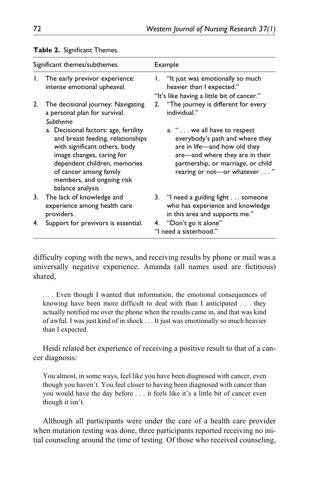|    | Significant themes/subthemes                                                                                                                                                                                                                        | Example                                                                                                                                                                                                 |
|----|-----------------------------------------------------------------------------------------------------------------------------------------------------------------------------------------------------------------------------------------------------|---------------------------------------------------------------------------------------------------------------------------------------------------------------------------------------------------------|
| Ι. | The early previvor experience:<br>intense emotional upheaval.                                                                                                                                                                                       | 1. "It just was emotionally so much<br>heavier than I expected."<br>"It's like having a little bit of cancer."                                                                                          |
| 2. | The decisional journey: Navigating<br>a personal plan for survival.<br>Subtheme                                                                                                                                                                     | 2. "The journey is different for every<br>individual."                                                                                                                                                  |
|    | a. Decisional factors: age, fertility<br>and breast feeding, relationships<br>with significant others, body<br>image changes, caring for<br>dependent children, memories<br>of cancer among family<br>members, and ongoing risk<br>balance analysis | a. " we all have to respect<br>everybody's path and where they<br>are in life-and how old they<br>are-and where they are in their<br>partnership, or marriage, or child<br>rearing or not-or whatever " |
| 3. | The lack of knowledge and<br>experience among health care<br>providers.                                                                                                                                                                             | 3. "I need a guiding light someone<br>who has experience and knowledge<br>in this area and supports me."                                                                                                |
| 4. | Support for previvors is essential.                                                                                                                                                                                                                 | 4. "Don't go it alone"<br>"I need a sisterhood."                                                                                                                                                        |

#### **Table 2.** Significant Themes.

difficulty coping with the news, and receiving results by phone or mail was a universally negative experience. Amanda (all names used are fictitious) shared,

. . . Even though I wanted that information, the emotional consequences of knowing have been more difficult to deal with than I anticipated . . . they actually notified me over the phone when the results came in, and that was kind of awful. I was just kind of in shock . . . It just was emotionally so much heavier than I expected.

Heidi related her experience of receiving a positive result to that of a cancer diagnosis:

You almost, in some ways, feel like you have been diagnosed with cancer, even though you haven't. You feel closer to having been diagnosed with cancer than you would have the day before . . . it feels like it's a little bit of cancer even though it isn't.

Although all participants were under the care of a health care provider when mutation testing was done, three participants reported receiving no initial counseling around the time of testing. Of those who received counseling,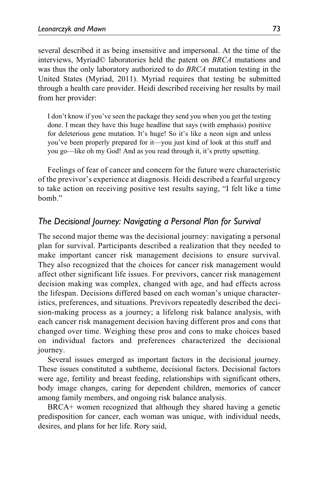several described it as being insensitive and impersonal. At the time of the interviews, Myriad© laboratories held the patent on *BRCA* mutations and was thus the only laboratory authorized to do *BRCA* mutation testing in the United States (Myriad, 2011). Myriad requires that testing be submitted through a health care provider. Heidi described receiving her results by mail from her provider:

I don't know if you've seen the package they send you when you get the testing done. I mean they have this huge headline that says (with emphasis) positive for deleterious gene mutation. It's huge! So it's like a neon sign and unless you've been properly prepared for it—you just kind of look at this stuff and you go—like oh my God! And as you read through it, it's pretty upsetting.

Feelings of fear of cancer and concern for the future were characteristic of the previvor's experience at diagnosis. Heidi described a fearful urgency to take action on receiving positive test results saying, "I felt like a time bomb."

### *The Decisional Journey: Navigating a Personal Plan for Survival*

The second major theme was the decisional journey: navigating a personal plan for survival. Participants described a realization that they needed to make important cancer risk management decisions to ensure survival. They also recognized that the choices for cancer risk management would affect other significant life issues. For previvors, cancer risk management decision making was complex, changed with age, and had effects across the lifespan. Decisions differed based on each woman's unique characteristics, preferences, and situations. Previvors repeatedly described the decision-making process as a journey; a lifelong risk balance analysis, with each cancer risk management decision having different pros and cons that changed over time. Weighing these pros and cons to make choices based on individual factors and preferences characterized the decisional journey.

Several issues emerged as important factors in the decisional journey. These issues constituted a subtheme, decisional factors. Decisional factors were age, fertility and breast feeding, relationships with significant others, body image changes, caring for dependent children, memories of cancer among family members, and ongoing risk balance analysis.

BRCA+ women recognized that although they shared having a genetic predisposition for cancer, each woman was unique, with individual needs, desires, and plans for her life. Rory said,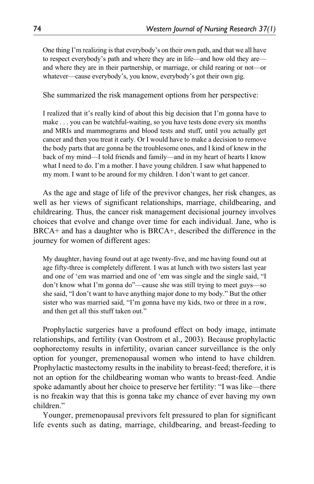One thing I'm realizing is that everybody's on their own path, and that we all have to respect everybody's path and where they are in life—and how old they are and where they are in their partnership, or marriage, or child rearing or not—or whatever—cause everybody's, you know, everybody's got their own gig.

She summarized the risk management options from her perspective:

I realized that it's really kind of about this big decision that I'm gonna have to make . . . you can be watchful-waiting, so you have tests done every six months and MRIs and mammograms and blood tests and stuff, until you actually get cancer and then you treat it early. Or I would have to make a decision to remove the body parts that are gonna be the troublesome ones, and I kind of knew in the back of my mind—I told friends and family—and in my heart of hearts I know what I need to do. I'm a mother. I have young children. I saw what happened to my mom. I want to be around for my children. I don't want to get cancer.

As the age and stage of life of the previvor changes, her risk changes, as well as her views of significant relationships, marriage, childbearing, and childrearing. Thus, the cancer risk management decisional journey involves choices that evolve and change over time for each individual. Jane, who is BRCA+ and has a daughter who is BRCA+, described the difference in the journey for women of different ages:

My daughter, having found out at age twenty-five, and me having found out at age fifty-three is completely different. I was at lunch with two sisters last year and one of 'em was married and one of 'em was single and the single said, "I don't know what I'm gonna do"—cause she was still trying to meet guys—so she said, "I don't want to have anything major done to my body." But the other sister who was married said, "I'm gonna have my kids, two or three in a row, and then get all this stuff taken out."

Prophylactic surgeries have a profound effect on body image, intimate relationships, and fertility (van Oostrom et al., 2003). Because prophylactic oophorectomy results in infertility, ovarian cancer surveillance is the only option for younger, premenopausal women who intend to have children. Prophylactic mastectomy results in the inability to breast-feed; therefore, it is not an option for the childbearing woman who wants to breast-feed. Andie spoke adamantly about her choice to preserve her fertility: "I was like—there is no freakin way that this is gonna take my chance of ever having my own children."

Younger, premenopausal previvors felt pressured to plan for significant life events such as dating, marriage, childbearing, and breast-feeding to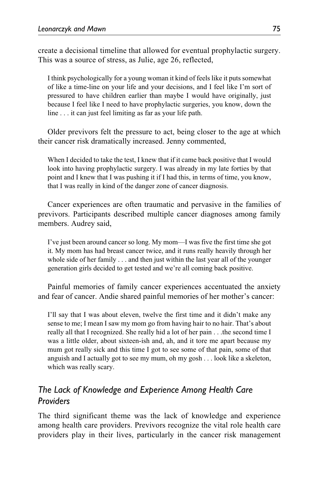create a decisional timeline that allowed for eventual prophylactic surgery. This was a source of stress, as Julie, age 26, reflected,

I think psychologically for a young woman it kind of feels like it puts somewhat of like a time-line on your life and your decisions, and I feel like I'm sort of pressured to have children earlier than maybe I would have originally, just because I feel like I need to have prophylactic surgeries, you know, down the line . . . it can just feel limiting as far as your life path.

Older previvors felt the pressure to act, being closer to the age at which their cancer risk dramatically increased. Jenny commented,

When I decided to take the test, I knew that if it came back positive that I would look into having prophylactic surgery. I was already in my late forties by that point and I knew that I was pushing it if I had this, in terms of time, you know, that I was really in kind of the danger zone of cancer diagnosis.

Cancer experiences are often traumatic and pervasive in the families of previvors. Participants described multiple cancer diagnoses among family members. Audrey said,

I've just been around cancer so long. My mom—I was five the first time she got it. My mom has had breast cancer twice, and it runs really heavily through her whole side of her family . . . and then just within the last year all of the younger generation girls decided to get tested and we're all coming back positive.

Painful memories of family cancer experiences accentuated the anxiety and fear of cancer. Andie shared painful memories of her mother's cancer:

I'll say that I was about eleven, twelve the first time and it didn't make any sense to me; I mean I saw my mom go from having hair to no hair. That's about really all that I recognized. She really hid a lot of her pain . . .the second time I was a little older, about sixteen-ish and, ah, and it tore me apart because my mum got really sick and this time I got to see some of that pain, some of that anguish and I actually got to see my mum, oh my gosh . . . look like a skeleton, which was really scary.

## *The Lack of Knowledge and Experience Among Health Care Providers*

The third significant theme was the lack of knowledge and experience among health care providers. Previvors recognize the vital role health care providers play in their lives, particularly in the cancer risk management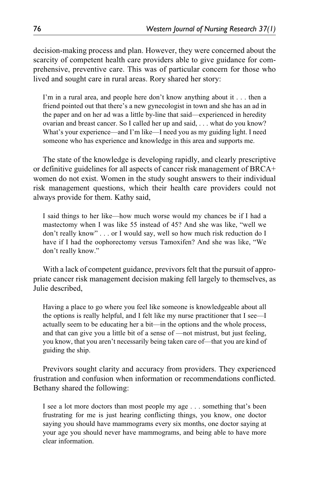decision-making process and plan. However, they were concerned about the scarcity of competent health care providers able to give guidance for comprehensive, preventive care. This was of particular concern for those who lived and sought care in rural areas. Rory shared her story:

I'm in a rural area, and people here don't know anything about it . . . then a friend pointed out that there's a new gynecologist in town and she has an ad in the paper and on her ad was a little by-line that said—experienced in heredity ovarian and breast cancer. So I called her up and said, . . . what do you know? What's your experience—and I'm like—I need you as my guiding light. I need someone who has experience and knowledge in this area and supports me.

The state of the knowledge is developing rapidly, and clearly prescriptive or definitive guidelines for all aspects of cancer risk management of BRCA+ women do not exist. Women in the study sought answers to their individual risk management questions, which their health care providers could not always provide for them. Kathy said,

I said things to her like—how much worse would my chances be if I had a mastectomy when I was like 55 instead of 45? And she was like, "well we don't really know" . . . or I would say, well so how much risk reduction do I have if I had the oophorectomy versus Tamoxifen? And she was like, "We don't really know."

With a lack of competent guidance, previvors felt that the pursuit of appropriate cancer risk management decision making fell largely to themselves, as Julie described,

Having a place to go where you feel like someone is knowledgeable about all the options is really helpful, and I felt like my nurse practitioner that I see—I actually seem to be educating her a bit—in the options and the whole process, and that can give you a little bit of a sense of —not mistrust, but just feeling, you know, that you aren't necessarily being taken care of—that you are kind of guiding the ship.

Previvors sought clarity and accuracy from providers. They experienced frustration and confusion when information or recommendations conflicted. Bethany shared the following:

I see a lot more doctors than most people my age . . . something that's been frustrating for me is just hearing conflicting things, you know, one doctor saying you should have mammograms every six months, one doctor saying at your age you should never have mammograms, and being able to have more clear information.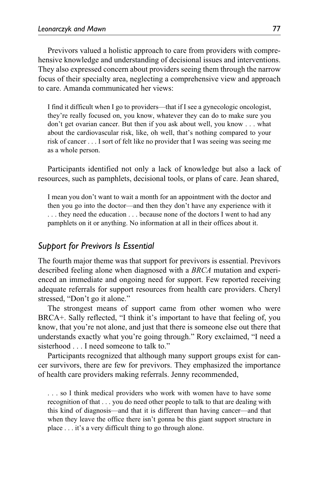Previvors valued a holistic approach to care from providers with comprehensive knowledge and understanding of decisional issues and interventions. They also expressed concern about providers seeing them through the narrow focus of their specialty area, neglecting a comprehensive view and approach to care. Amanda communicated her views:

I find it difficult when I go to providers—that if I see a gynecologic oncologist, they're really focused on, you know, whatever they can do to make sure you don't get ovarian cancer. But then if you ask about well, you know . . . what about the cardiovascular risk, like, oh well, that's nothing compared to your risk of cancer . . . I sort of felt like no provider that I was seeing was seeing me as a whole person.

Participants identified not only a lack of knowledge but also a lack of resources, such as pamphlets, decisional tools, or plans of care. Jean shared,

I mean you don't want to wait a month for an appointment with the doctor and then you go into the doctor—and then they don't have any experience with it . . . they need the education . . . because none of the doctors I went to had any pamphlets on it or anything. No information at all in their offices about it.

### *Support for Previvors Is Essential*

The fourth major theme was that support for previvors is essential. Previvors described feeling alone when diagnosed with a *BRCA* mutation and experienced an immediate and ongoing need for support. Few reported receiving adequate referrals for support resources from health care providers. Cheryl stressed, "Don't go it alone."

The strongest means of support came from other women who were BRCA+. Sally reflected, "I think it's important to have that feeling of, you know, that you're not alone, and just that there is someone else out there that understands exactly what you're going through." Rory exclaimed, "I need a sisterhood . . . I need someone to talk to."

Participants recognized that although many support groups exist for cancer survivors, there are few for previvors. They emphasized the importance of health care providers making referrals. Jenny recommended,

. . . so I think medical providers who work with women have to have some recognition of that . . . you do need other people to talk to that are dealing with this kind of diagnosis—and that it is different than having cancer—and that when they leave the office there isn't gonna be this giant support structure in place . . . it's a very difficult thing to go through alone.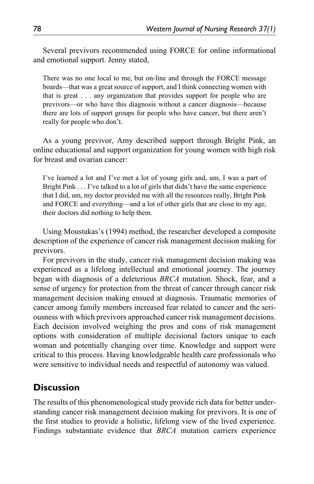Several previvors recommended using FORCE for online informational and emotional support. Jenny stated,

There was no one local to me, but on-line and through the FORCE message boards—that was a great source of support, and I think connecting women with that is great . . . any organization that provides support for people who are previvors—or who have this diagnosis without a cancer diagnosis—because there are lots of support groups for people who have cancer, but there aren't really for people who don't.

As a young previvor, Amy described support through Bright Pink, an online educational and support organization for young women with high risk for breast and ovarian cancer:

I've learned a lot and I've met a lot of young girls and, um, I was a part of Bright Pink . . . I've talked to a lot of girls that didn't have the same experience that I did, um, my doctor provided me with all the resources really, Bright Pink and FORCE and everything—and a lot of other girls that are close to my age, their doctors did nothing to help them.

Using Moustakas's (1994) method, the researcher developed a composite description of the experience of cancer risk management decision making for previvors.

For previvors in the study, cancer risk management decision making was experienced as a lifelong intellectual and emotional journey. The journey began with diagnosis of a deleterious *BRCA* mutation. Shock, fear, and a sense of urgency for protection from the threat of cancer through cancer risk management decision making ensued at diagnosis. Traumatic memories of cancer among family members increased fear related to cancer and the seriousness with which previvors approached cancer risk management decisions. Each decision involved weighing the pros and cons of risk management options with consideration of multiple decisional factors unique to each woman and potentially changing over time. Knowledge and support were critical to this process. Having knowledgeable health care professionals who were sensitive to individual needs and respectful of autonomy was valued.

### **Discussion**

The results of this phenomenological study provide rich data for better understanding cancer risk management decision making for previvors. It is one of the first studies to provide a holistic, lifelong view of the lived experience. Findings substantiate evidence that *BRCA* mutation carriers experience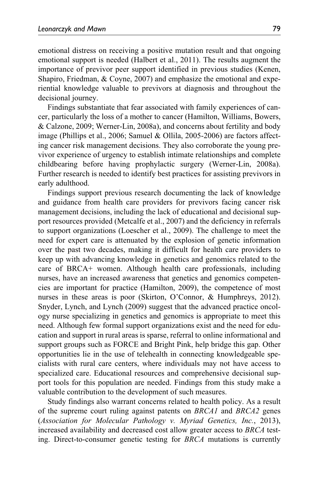emotional distress on receiving a positive mutation result and that ongoing emotional support is needed (Halbert et al., 2011). The results augment the importance of previvor peer support identified in previous studies (Kenen, Shapiro, Friedman, & Coyne, 2007) and emphasize the emotional and experiential knowledge valuable to previvors at diagnosis and throughout the decisional journey.

Findings substantiate that fear associated with family experiences of cancer, particularly the loss of a mother to cancer (Hamilton, Williams, Bowers, & Calzone, 2009; Werner-Lin, 2008a), and concerns about fertility and body image (Phillips et al., 2006; Samuel & Ollila, 2005-2006) are factors affecting cancer risk management decisions. They also corroborate the young previvor experience of urgency to establish intimate relationships and complete childbearing before having prophylactic surgery (Werner-Lin, 2008a). Further research is needed to identify best practices for assisting previvors in early adulthood.

Findings support previous research documenting the lack of knowledge and guidance from health care providers for previvors facing cancer risk management decisions, including the lack of educational and decisional support resources provided (Metcalfe et al., 2007) and the deficiency in referrals to support organizations (Loescher et al., 2009). The challenge to meet the need for expert care is attenuated by the explosion of genetic information over the past two decades, making it difficult for health care providers to keep up with advancing knowledge in genetics and genomics related to the care of BRCA+ women. Although health care professionals, including nurses, have an increased awareness that genetics and genomics competencies are important for practice (Hamilton, 2009), the competence of most nurses in these areas is poor (Skirton, O'Connor, & Humphreys, 2012). Snyder, Lynch, and Lynch (2009) suggest that the advanced practice oncology nurse specializing in genetics and genomics is appropriate to meet this need. Although few formal support organizations exist and the need for education and support in rural areas is sparse, referral to online informational and support groups such as FORCE and Bright Pink, help bridge this gap. Other opportunities lie in the use of telehealth in connecting knowledgeable specialists with rural care centers, where individuals may not have access to specialized care. Educational resources and comprehensive decisional support tools for this population are needed. Findings from this study make a valuable contribution to the development of such measures.

Study findings also warrant concerns related to health policy. As a result of the supreme court ruling against patents on *BRCA1* and *BRCA2* genes (*Association for Molecular Pathology v. Myriad Genetics, Inc.*, 2013), increased availability and decreased cost allow greater access to *BRCA* testing. Direct-to-consumer genetic testing for *BRCA* mutations is currently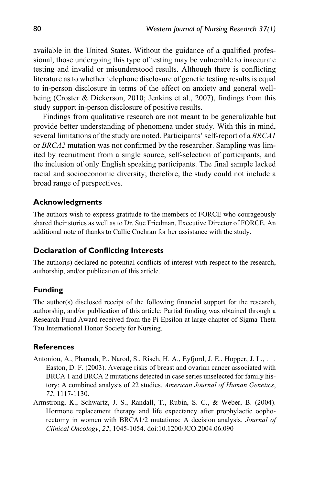available in the United States. Without the guidance of a qualified professional, those undergoing this type of testing may be vulnerable to inaccurate testing and invalid or misunderstood results. Although there is conflicting literature as to whether telephone disclosure of genetic testing results is equal to in-person disclosure in terms of the effect on anxiety and general wellbeing (Croster & Dickerson, 2010; Jenkins et al., 2007), findings from this study support in-person disclosure of positive results.

Findings from qualitative research are not meant to be generalizable but provide better understanding of phenomena under study. With this in mind, several limitations of the study are noted. Participants' self-report of a *BRCA1* or *BRCA2* mutation was not confirmed by the researcher. Sampling was limited by recruitment from a single source, self-selection of participants, and the inclusion of only English speaking participants. The final sample lacked racial and socioeconomic diversity; therefore, the study could not include a broad range of perspectives.

#### **Acknowledgments**

The authors wish to express gratitude to the members of FORCE who courageously shared their stories as well as to Dr. Sue Friedman, Executive Director of FORCE. An additional note of thanks to Callie Cochran for her assistance with the study.

#### **Declaration of Conflicting Interests**

The author(s) declared no potential conflicts of interest with respect to the research, authorship, and/or publication of this article.

#### **Funding**

The author(s) disclosed receipt of the following financial support for the research, authorship, and/or publication of this article: Partial funding was obtained through a Research Fund Award received from the Pi Epsilon at large chapter of Sigma Theta Tau International Honor Society for Nursing.

#### **References**

- Antoniou, A., Pharoah, P., Narod, S., Risch, H. A., Eyfjord, J. E., Hopper, J. L., . . . Easton, D. F. (2003). Average risks of breast and ovarian cancer associated with BRCA 1 and BRCA 2 mutations detected in case series unselected for family history: A combined analysis of 22 studies. *American Journal of Human Genetics*, *72*, 1117-1130.
- Armstrong, K., Schwartz, J. S., Randall, T., Rubin, S. C., & Weber, B. (2004). Hormone replacement therapy and life expectancy after prophylactic oophorectomy in women with BRCA1/2 mutations: A decision analysis. *Journal of Clinical Oncology*, *22*, 1045-1054. doi:10.1200/JCO.2004.06.090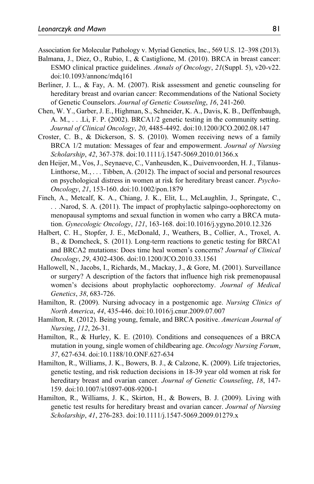Association for Molecular Pathology v. Myriad Genetics, Inc., 569 U.S. 12–398 (2013).

- Balmana, J., Diez, O., Rubio, I., & Castiglione, M. (2010). BRCA in breast cancer: ESMO clinical practice guidelines. *Annals of Oncology*, *21*(Suppl. 5), v20-v22. doi:10.1093/annonc/mdq161
- Berliner, J. L., & Fay, A. M. (2007). Risk assessment and genetic counseling for hereditary breast and ovarian cancer: Recommendations of the National Society of Genetic Counselors. *Journal of Genetic Counseling*, *16*, 241-260.
- Chen, W. Y., Garber, J. E., Highman, S., Schneider, K. A., Davis, K. B., Deffenbaugh, A. M., . . .Li, F. P. (2002). BRCA1/2 genetic testing in the community setting. *Journal of Clinical Oncology*, *20*, 4485-4492. doi:10.1200/JCO.2002.08.147
- Croster, C. B., & Dickerson, S. S. (2010). Women receiving news of a family BRCA 1/2 mutation: Messages of fear and empowerment. *Journal of Nursing Scholarship*, *42*, 367-378. doi:10.1111/j.1547-5069.2010.01366.x
- den Heijer, M., Vos, J., Seynaeve, C., Vanheusden, K., Duivenvoorden, H. J., Tilanus-Linthorse, M., . . . Tibben, A. (2012). The impact of social and personal resources on psychological distress in women at risk for hereditary breast cancer. *Psycho-Oncology*, *21*, 153-160. doi:10.1002/pon.1879
- Finch, A., Metcalf, K. A., Chiang, J. K., Elit, L., McLaughlin, J., Springate, C., . . .Narod, S. A. (2011). The impact of prophylactic salpingo-oophorectomy on menopausal symptoms and sexual function in women who carry a BRCA mutation. *Gynecologic Oncology*, *121*, 163-168. doi:10.1016/j.ygyno.2010.12.326
- Halbert, C. H., Stopfer, J. E., McDonald, J., Weathers, B., Collier, A., Troxel, A. B., & Domcheck, S. (2011). Long-term reactions to genetic testing for BRCA1 and BRCA2 mutations: Does time heal women's concerns? *Journal of Clinical Oncology*, *29*, 4302-4306. doi:10.1200/JCO.2010.33.1561
- Hallowell, N., Jacobs, I., Richards, M., Mackay, J., & Gore, M. (2001). Surveillance or surgery? A description of the factors that influence high risk premenopausal women's decisions about prophylactic oophorectomy. *Journal of Medical Genetics*, *38*, 683-726.
- Hamilton, R. (2009). Nursing advocacy in a postgenomic age. *Nursing Clinics of North America*, *44*, 435-446. doi:10.1016/j.cnur.2009.07.007
- Hamilton, R. (2012). Being young, female, and BRCA positive. *American Journal of Nursing*, *112*, 26-31.
- Hamilton, R., & Hurley, K. E. (2010). Conditions and consequences of a BRCA mutation in young, single women of childbearing age. *Oncology Nursing Forum*, *37*, 627-634. doi:10.1188/10.ONF.627-634
- Hamilton, R., Williams, J. K., Bowers, B. J., & Calzone, K. (2009). Life trajectories, genetic testing, and risk reduction decisions in 18-39 year old women at risk for hereditary breast and ovarian cancer. *Journal of Genetic Counseling*, *18*, 147- 159. doi:10.1007/s10897-008-9200-1
- Hamilton, R., Williams, J. K., Skirton, H., & Bowers, B. J. (2009). Living with genetic test results for hereditary breast and ovarian cancer. *Journal of Nursing Scholarship*, *41*, 276-283. doi:10.1111/j.1547-5069.2009.01279.x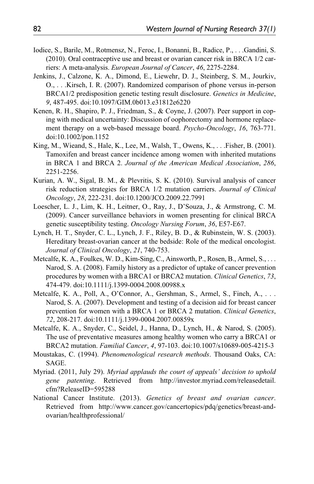- Iodice, S., Barile, M., Rotmensz, N., Feroc, I., Bonanni, B., Radice, P., . . .Gandini, S. (2010). Oral contraceptive use and breast or ovarian cancer risk in BRCA 1/2 carriers: A meta-analysis. *European Journal of Cancer*, *46*, 2275-2284.
- Jenkins, J., Calzone, K. A., Dimond, E., Liewehr, D. J., Steinberg, S. M., Jourkiv, O., . . .Kirsch, I. R. (2007). Randomized comparison of phone versus in-person BRCA1/2 predisposition genetic testing result disclosure. *Genetics in Medicine*, *9*, 487-495. doi:10.1097/GIM.0b013.e31812e6220
- Kenen, R. H., Shapiro, P. J., Friedman, S., & Coyne, J. (2007). Peer support in coping with medical uncertainty: Discussion of oophorectomy and hormone replacement therapy on a web-based message board. *Psycho-Oncology*, *16*, 763-771. doi:10.1002/pon.1152
- King, M., Wieand, S., Hale, K., Lee, M., Walsh, T., Owens, K., . . .Fisher, B. (2001). Tamoxifen and breast cancer incidence among women with inherited mutations in BRCA 1 and BRCA 2. *Journal of the American Medical Association*, *286*, 2251-2256.
- Kurian, A. W., Sigal, B. M., & Plevritis, S. K. (2010). Survival analysis of cancer risk reduction strategies for BRCA 1/2 mutation carriers. *Journal of Clinical Oncology*, *28*, 222-231. doi:10.1200/JCO.2009.22.7991
- Loescher, L. J., Lim, K. H., Leitner, O., Ray, J., D'Souza, J., & Armstrong, C. M. (2009). Cancer surveillance behaviors in women presenting for clinical BRCA genetic susceptibility testing. *Oncology Nursing Forum*, *36*, E57-E67.
- Lynch, H. T., Snyder, C. L., Lynch, J. F., Riley, B. D., & Rubinstein, W. S. (2003). Hereditary breast-ovarian cancer at the bedside: Role of the medical oncologist. *Journal of Clinical Oncology*, *21*, 740-753.
- Metcalfe, K. A., Foulkes, W. D., Kim-Sing, C., Ainsworth, P., Rosen, B., Armel, S., . . . Narod, S. A. (2008). Family history as a predictor of uptake of cancer prevention procedures by women with a BRCA1 or BRCA2 mutation. *Clinical Genetics*, *73*, 474-479. doi:10.1111/j.1399-0004.2008.00988.x
- Metcalfe, K. A., Poll, A., O'Connor, A., Gershman, S., Armel, S., Finch, A., . . . Narod, S. A. (2007). Development and testing of a decision aid for breast cancer prevention for women with a BRCA 1 or BRCA 2 mutation. *Clinical Genetics*, *72*, 208-217. doi:10.1111/j.1399-0004.2007.00859x
- Metcalfe, K. A., Snyder, C., Seidel, J., Hanna, D., Lynch, H., & Narod, S. (2005). The use of preventative measures among healthy women who carry a BRCA1 or BRCA2 mutation. *Familial Cancer*, *4*, 97-103. doi:10.1007/s10689-005-4215-3
- Moustakas, C. (1994). *Phenomenological research methods*. Thousand Oaks, CA: SAGE.
- Myriad. (2011, July 29). *Myriad applauds the court of appeals' decision to uphold gene patenting*[. Retrieved from http://investor.myriad.com/releasedetail.](http://investor.myriad.com/releasedetail.cfm?ReleaseID=595288) cfm?ReleaseID=595288
- National Cancer Institute. (2013). *Genetics of breast and ovarian cancer*. Retrieved from http://www.cancer.gov/cancertopics/pdq/genetics/breast-andovarian/healthprofessional/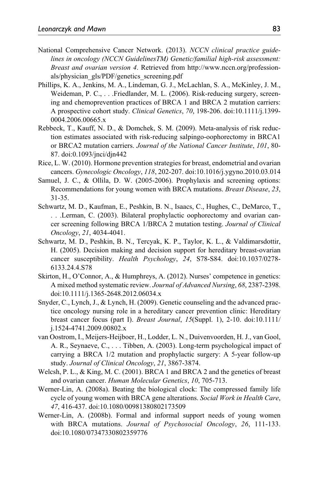- National Comprehensive Cancer Network. (2013). *NCCN clinical practice guidelines in oncology (NCCN GuidelinesTM) Genetic/familial high-risk assessment: Breast and ovarian version 4*. Retrieved from http://www.nccn.org/professionals/physician\_gls/PDF/genetics\_screening.pdf
- Phillips, K. A., Jenkins, M. A., Lindeman, G. J., McLachlan, S. A., McKinley, J. M., Weideman, P. C., . . .Friedlander, M. L. (2006). Risk-reducing surgery, screening and chemoprevention practices of BRCA 1 and BRCA 2 mutation carriers: A prospective cohort study. *Clinical Genetics*, *70*, 198-206. doi:10.1111/j.1399- 0004.2006.00665.x
- Rebbeck, T., Kauff, N. D., & Domchek, S. M. (2009). Meta-analysis of risk reduction estimates associated with risk-reducing salpingo-oophorectomy in BRCA1 or BRCA2 mutation carriers. *Journal of the National Cancer Institute*, *101*, 80- 87. doi:0.1093/jnci/djn442
- Rice, L. W. (2010). Hormone prevention strategies for breast, endometrial and ovarian cancers. *Gynecologic Oncology*, *118*, 202-207. doi:10.1016/j.ygyno.2010.03.014
- Samuel, J. C., & Ollila, D. W. (2005-2006). Prophylaxis and screening options: Recommendations for young women with BRCA mutations. *Breast Disease*, *23*, 31-35.
- Schwartz, M. D., Kaufman, E., Peshkin, B. N., Isaacs, C., Hughes, C., DeMarco, T., . . .Lerman, C. (2003). Bilateral prophylactic oophorectomy and ovarian cancer screening following BRCA 1/BRCA 2 mutation testing. *Journal of Clinical Oncology*, *21*, 4034-4041.
- Schwartz, M. D., Peshkin, B. N., Tercyak, K. P., Taylor, K. L., & Valdimarsdottir, H. (2005). Decision making and decision support for hereditary breast-ovarian cancer susceptibility. *Health Psychology*, *24*, S78-S84. doi:10.1037/0278- 6133.24.4.S78
- Skirton, H., O'Connor, A., & Humphreys, A. (2012). Nurses' competence in genetics: A mixed method systematic review. *Journal of Advanced Nursing*, *68*, 2387-2398. doi:10.1111/j.1365-2648.2012.06034.x
- Snyder, C., Lynch, J., & Lynch, H. (2009). Genetic counseling and the advanced practice oncology nursing role in a hereditary cancer prevention clinic: Hereditary breast cancer focus (part I). *Breast Journal*, *15*(Suppl. 1), 2-10. doi:10.1111/ j.1524-4741.2009.00802.x
- van Oostrom, I., Meijers-Heijboer, H., Lodder, L. N., Duivenvoorden, H. J., van Gool, A. R., Seynaeve, C., . . . Tibben, A. (2003). Long-term psychological impact of carrying a BRCA 1/2 mutation and prophylactic surgery: A 5-year follow-up study. *Journal of Clinical Oncology*, *21*, 3867-3874.
- Welcsh, P. L., & King, M. C. (2001). BRCA 1 and BRCA 2 and the genetics of breast and ovarian cancer. *Human Molecular Genetics*, *10*, 705-713.
- Werner-Lin, A. (2008a). Beating the biological clock: The compressed family life cycle of young women with BRCA gene alterations. *Social Work in Health Care*, *47*, 416-437. doi:10.1080/00981380802173509
- Werner-Lin, A. (2008b). Formal and informal support needs of young women with BRCA mutations. *Journal of Psychosocial Oncology*, *26*, 111-133. doi:10.1080/07347330802359776